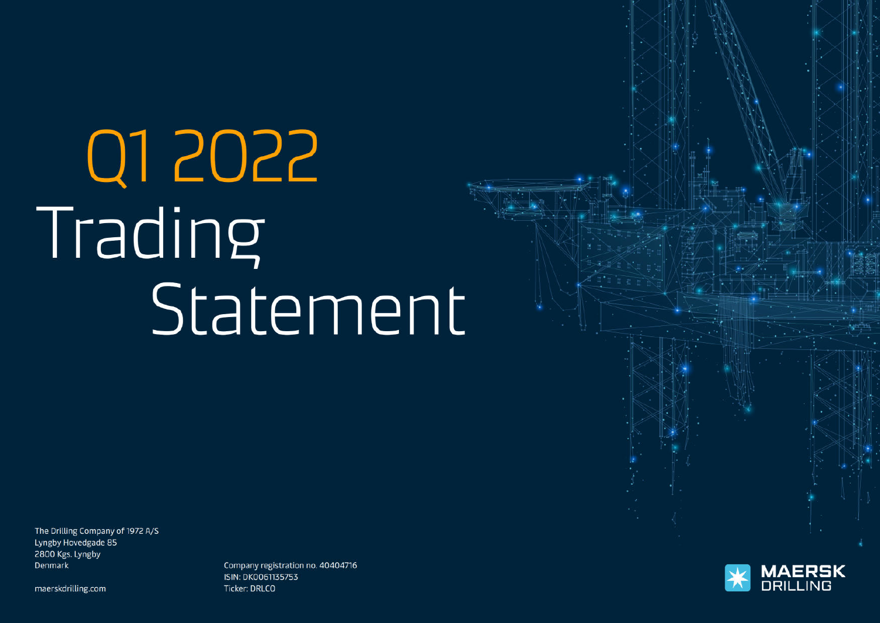# Q1 2022 Trading Statement

The Drilling Company of 1972 A/S Lyngby Hovedgade 85 2800 Kgs. Lyngby Denmark

maerskdrilling.com

Company registration no. 40404716 **ISIN: DK0061135753** Ticker: DRLCO

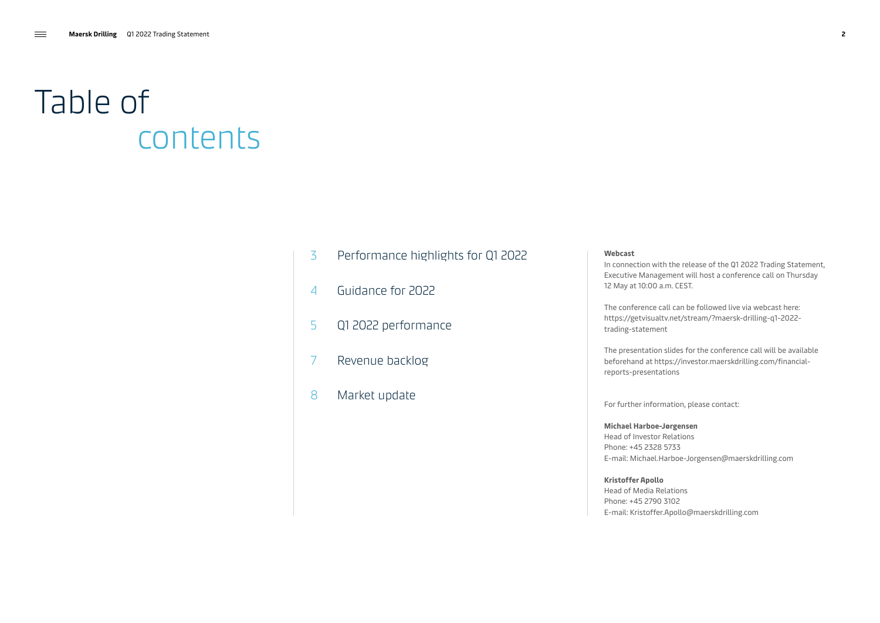### Table of contents

- 3 [Performance highlights for Q1 2022](#page-2-0)
- 4 [Guidance for 2022](#page-3-0)
- 5 [Q1 2022 performance](#page-4-0)
- 7 [Revenue backlog](#page-6-0)
- 8 [Market update](#page-7-0)

#### **Webcast**

In connection with the release of the Q1 2022 Trading Statement, Executive Management will host a conference call on Thursday 12 May at 10:00 a.m. CEST.

The conference call can be followed live via webcast here: [https://getvisualtv.net/stream/?maersk-drilling-q1-2022](https://getvisualtv.net/stream/?maersk-drilling-q1-2022-trading-statement) [trading-statement](https://getvisualtv.net/stream/?maersk-drilling-q1-2022-trading-statement) 

The presentation slides for the conference call will be available beforehand at [https://investor.maerskdrilling.com/financial](https://investor.maerskdrilling.com/financial-reports-presentations)[reports-presentations](https://investor.maerskdrilling.com/financial-reports-presentations)

For further information, please contact:

**Michael Harboe-Jørgensen** Head of Investor Relations Phone: +45 2328 5733 E-mail: [Michael.Harboe-Jorgensen@maerskdrilling.com](mailto:Michael.Harboe-Jorgensen%40maerskdrilling.com?subject=)

**Kristoffer Apollo** Head of Media Relations Phone: +45 2790 3102 E-mail: [Kristoffer.Apollo@maerskdrilling.com](mailto:Kristoffer.Apollo%40maerskdrilling.com?subject=)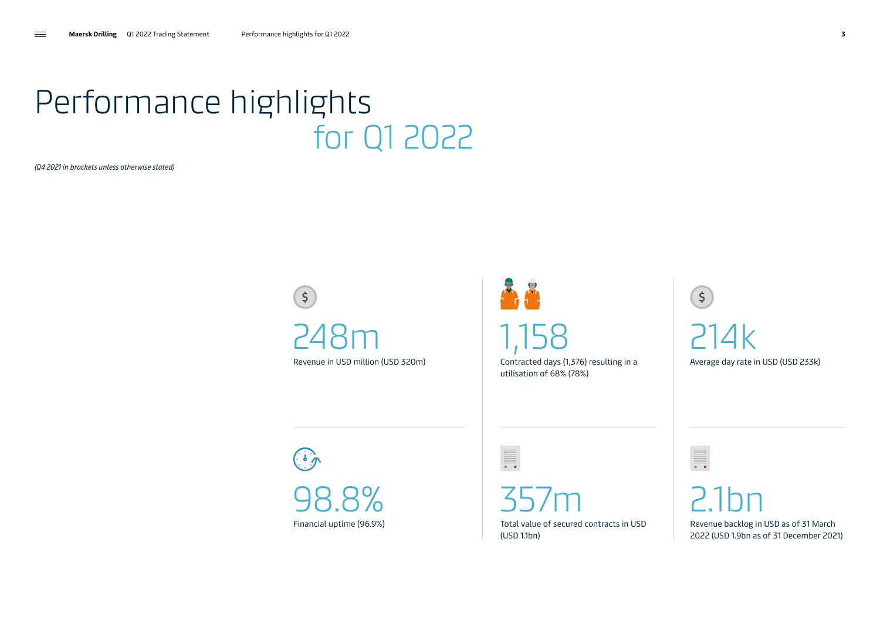### <span id="page-2-0"></span>Performance highlights for Q1 2022

*(Q4 2021 in brackets unless otherwise stated)* 

 $\left(5\right)$ 248m Revenue in USD million (USD 320m)

48 1,158

 $\equiv \overline{\phantom{aa}}$ 

Contracted days (1,376) resulting in a utilisation of 68% (78%)

 $(5)$ 214k Average day rate in USD (USD 233k)

 $\begin{pmatrix} 1 \\ 0 \\ 0 \end{pmatrix}$ 98.8% Financial uptime (96.9%)

357m Total value of secured contracts in USD (USD 1.1bn)

2.1bn Revenue backlog in USD as of 31 March 2022 (USD 1.9bn as of 31 December 2021)

III.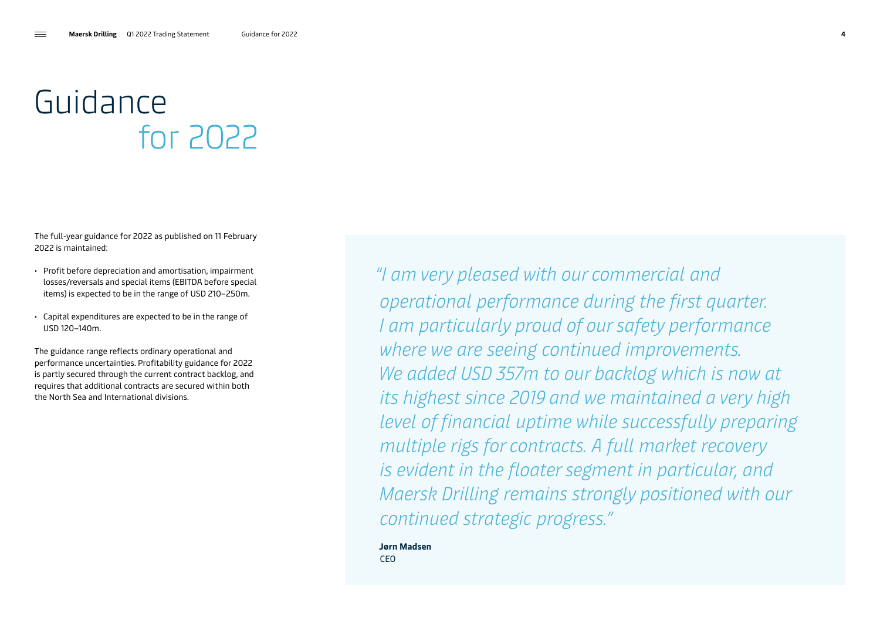### <span id="page-3-0"></span>Guidance for 2022

The full-year guidance for 2022 as published on 11 February 2022 is maintained:

- Profit before depreciation and amortisation, impairment losses/reversals and special items (EBITDA before special items) is expected to be in the range of USD 210–250m.
- Capital expenditures are expected to be in the range of USD 120–140m.

The guidance range reflects ordinary operational and performance uncertainties. Profitability guidance for 2022 is partly secured through the current contract backlog, and requires that additional contracts are secured within both the North Sea and International divisions.

*"I am very pleased with our commercial and operational performance during the first quarter. I am particularly proud of our safety performance where we are seeing continued improvements. We added USD 357m to our backlog which is now at its highest since 2019 and we maintained a very high level of financial uptime while successfully preparing multiple rigs for contracts. A full market recovery is evident in the floater segment in particular, and Maersk Drilling remains strongly positioned with our continued strategic progress."*

**Jørn Madsen CEO**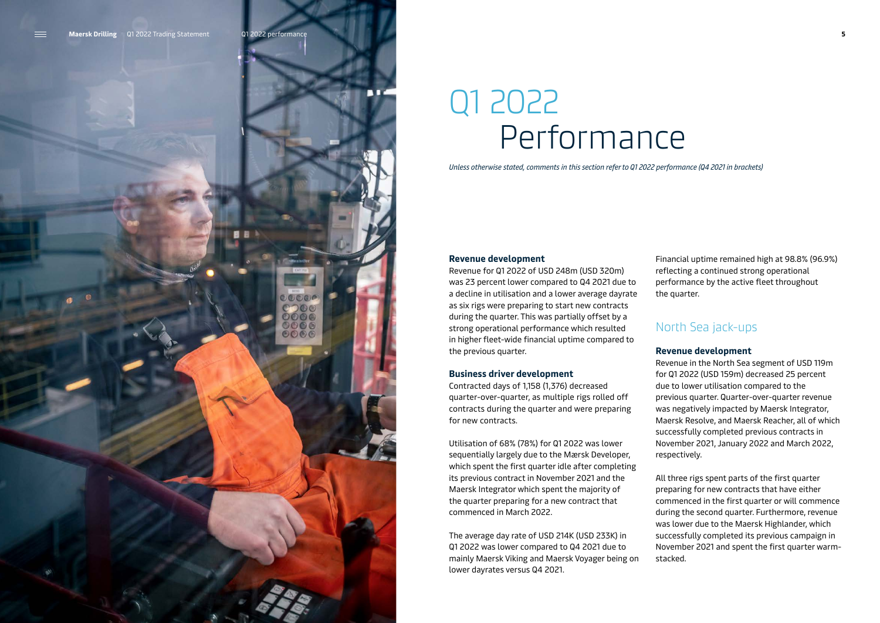<span id="page-4-0"></span>

### Q1 2022 Performance

*Unless otherwise stated, comments in this section refer to Q1 2022 performance (Q4 2021 in brackets)*

#### **Revenue development**

Revenue for Q1 2022 of USD 248m (USD 320m) was 23 percent lower compared to Q4 2021 due to a decline in utilisation and a lower average dayrate as six rigs were preparing to start new contracts during the quarter. This was partially offset by a strong operational performance which resulted in higher fleet-wide financial uptime compared to the previous quarter.

#### **Business driver development**

Contracted days of 1,158 (1,376) decreased quarter-over-quarter, as multiple rigs rolled off contracts during the quarter and were preparing for new contracts.

Utilisation of 68% (78%) for Q1 2022 was lower sequentially largely due to the Mærsk Developer, which spent the first quarter idle after completing its previous contract in November 2021 and the Maersk Integrator which spent the majority of the quarter preparing for a new contract that commenced in March 2022.

The average day rate of USD 214K (USD 233K) in Q1 2022 was lower compared to Q4 2021 due to mainly Maersk Viking and Maersk Voyager being on lower dayrates versus Q4 2021.

Financial uptime remained high at 98.8% (96.9%) reflecting a continued strong operational performance by the active fleet throughout the quarter.

#### North Sea jack-ups

#### **Revenue development**

Revenue in the North Sea segment of USD 119m for Q1 2022 (USD 159m) decreased 25 percent due to lower utilisation compared to the previous quarter. Quarter-over-quarter revenue was negatively impacted by Maersk Integrator, Maersk Resolve, and Maersk Reacher, all of which successfully completed previous contracts in November 2021, January 2022 and March 2022, respectively.

All three rigs spent parts of the first quarter preparing for new contracts that have either commenced in the first quarter or will commence during the second quarter. Furthermore, revenue was lower due to the Maersk Highlander, which successfully completed its previous campaign in November 2021 and spent the first quarter warmstacked.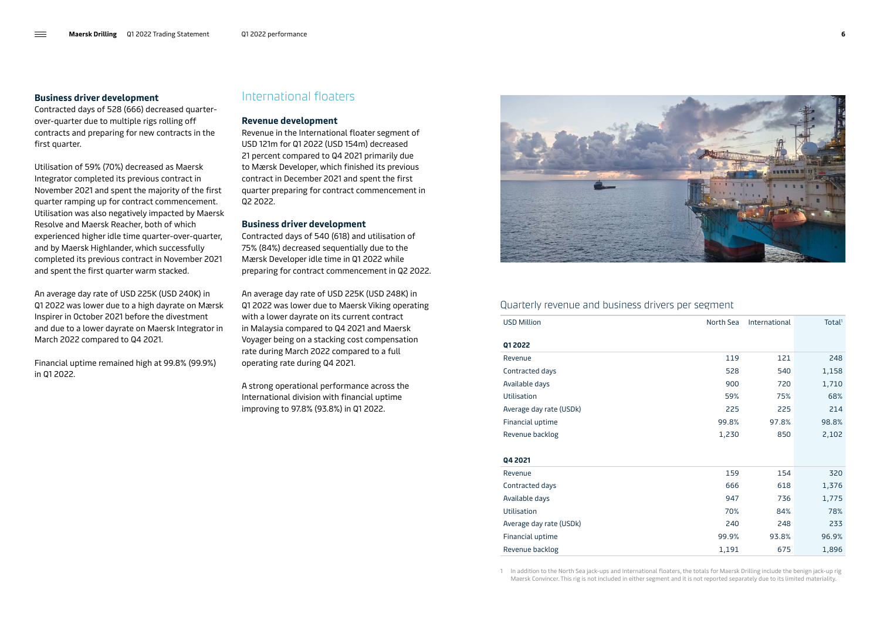#### **Business driver development**

Contracted days of 528 (666) decreased quarterover-quarter due to multiple rigs rolling off contracts and preparing for new contracts in the first quarter.

Utilisation of 59% (70%) decreased as Maersk Integrator completed its previous contract in November 2021 and spent the majority of the first quarter ramping up for contract commencement. Utilisation was also negatively impacted by Maersk Resolve and Maersk Reacher, both of which experienced higher idle time quarter-over-quarter, and by Maersk Highlander, which successfully completed its previous contract in November 2021 and spent the first quarter warm stacked.

An average day rate of USD 225K (USD 240K) in Q1 2022 was lower due to a high dayrate on Mærsk Inspirer in October 2021 before the divestment and due to a lower dayrate on Maersk Integrator in March 2022 compared to Q4 2021.

Financial uptime remained high at 99.8% (99.9%) in Q1 2022.

### International floaters

#### **Revenue development**

Revenue in the International floater segment of USD 121m for Q1 2022 (USD 154m) decreased 21 percent compared to Q4 2021 primarily due to Mærsk Developer, which finished its previous contract in December 2021 and spent the first quarter preparing for contract commencement in Q2 2022.

#### **Business driver development**

Contracted days of 540 (618) and utilisation of 75% (84%) decreased sequentially due to the Mærsk Developer idle time in Q1 2022 while preparing for contract commencement in Q2 2022.

An average day rate of USD 225K (USD 248K) in Q1 2022 was lower due to Maersk Viking operating with a lower dayrate on its current contract in Malaysia compared to Q4 2021 and Maersk Voyager being on a stacking cost compensation rate during March 2022 compared to a full operating rate during Q4 2021.

A strong operational performance across the International division with financial uptime improving to 97.8% (93.8%) in Q1 2022.



#### Quarterly revenue and business drivers per segment

| <b>USD Million</b>      | North Sea | International | Total <sup>1</sup> |
|-------------------------|-----------|---------------|--------------------|
| Q1 2022                 |           |               |                    |
| Revenue                 | 119       | 121           | 248                |
| Contracted days         | 528       | 540           | 1,158              |
| Available days          | 900       | 720           | 1,710              |
| <b>Utilisation</b>      | 59%       | 75%           | 68%                |
| Average day rate (USDk) | 225       | 225           | 214                |
| Financial uptime        | 99.8%     | 97.8%         | 98.8%              |
| Revenue backlog         | 1,230     | 850           | 2,102              |
|                         |           |               |                    |
| Q4 2021                 |           |               |                    |
| Revenue                 | 159       | 154           | 320                |
| Contracted days         | 666       | 618           | 1,376              |
| Available days          | 947       | 736           | 1,775              |
| <b>Utilisation</b>      | 70%       | 84%           | 78%                |
| Average day rate (USDk) | 240       | 248           | 233                |
| Financial uptime        | 99.9%     | 93.8%         | 96.9%              |
| Revenue backlog         | 1,191     | 675           | 1,896              |

1 In addition to the North Sea jack-ups and International floaters, the totals for Maersk Drilling include the benign jack-up rig Maersk Convincer. This rig is not included in either segment and it is not reported separately due to its limited materiality.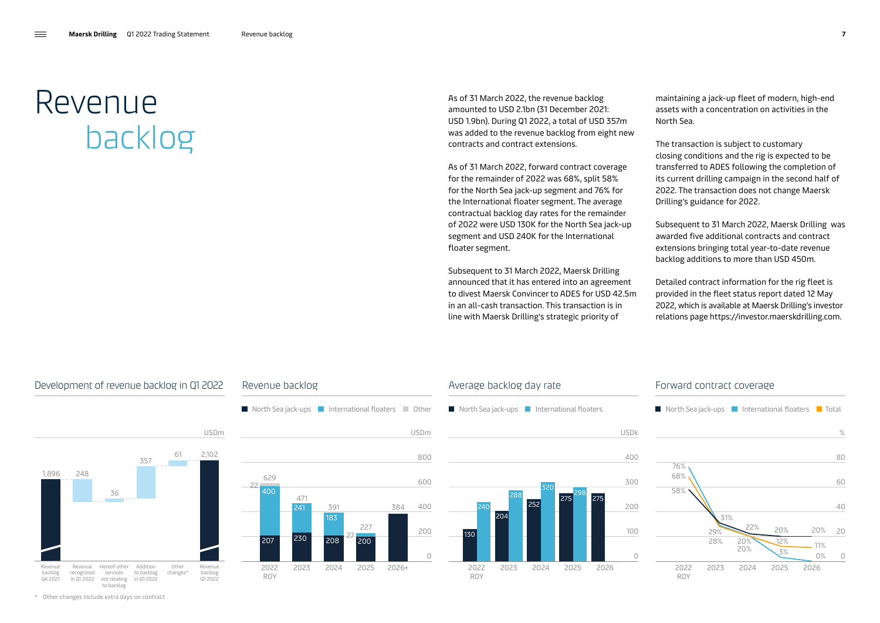### <span id="page-6-0"></span>Revenue backlog

As of 31 March 2022, the revenue backlog amounted to USD 2.1bn (31 December 2021: USD 1.9bn). During Q1 2022, a total of USD 357m was added to the revenue backlog from eight new contracts and contract extensions.

As of 31 March 2022, forward contract coverage for the remainder of 2022 was 68%, split 58% for the North Sea jack-up segment and 76% for the International floater segment. The average contractual backlog day rates for the remainder of 2022 were USD 130K for the North Sea jack-up segment and USD 240K for the International floater segment.

Subsequent to 31 March 2022, Maersk Drilling announced that it has entered into an agreement to divest Maersk Convincer to ADES for USD 42.5m in an all-cash transaction. This transaction is in line with Maersk Drilling's strategic priority of

maintaining a jack-up fleet of modern, high-end assets with a concentration on activities in the North Sea.

The transaction is subject to customary closing conditions and the rig is expected to be transferred to ADES following the completion of its current drilling campaign in the second half of 2022. The transaction does not change Maersk Drilling's guidance for 2022.

Subsequent to 31 March 2022, Maersk Drilling was awarded five additional contracts and contract extensions bringing total year-to-date revenue backlog additions to more than USD 450m.

Detailed contract information for the rig fleet is provided in the fleet status report dated 12 May 2022, which is available at Maersk Drilling's investor relations page<https://investor.maerskdrilling.com>.

#### Development of revenue backlog in Q1 2022



#### $\blacksquare$  North Sea jack-ups  $\blacksquare$  International floaters  $\blacksquare$  Other Revenue backlog USDm  $\Omega$ 200 400 600 800 207 400 230 241 208 183 629 2022 ROY 2023 2024 2025 2026+ 22 471 391 200 227 384 27



#### Forward contract coverage

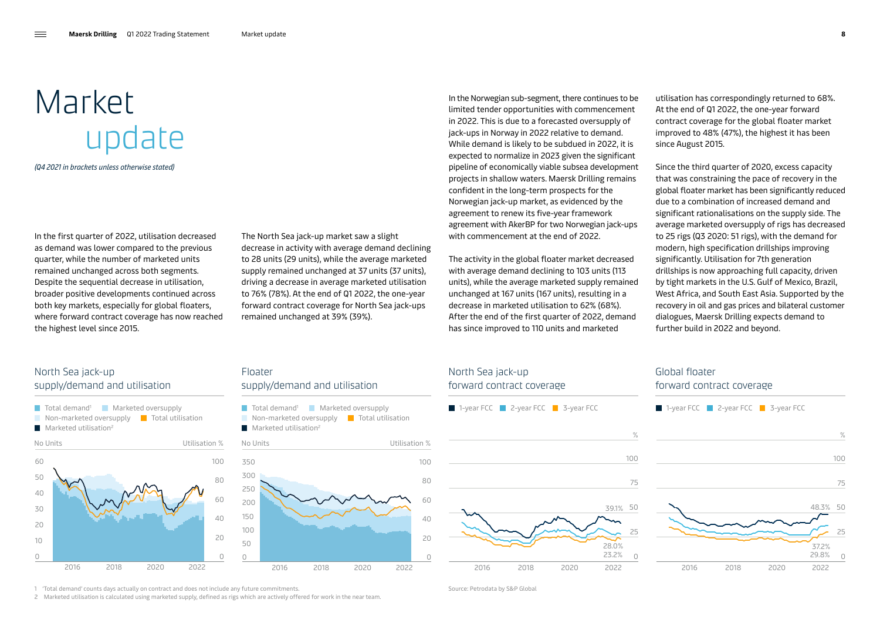## <span id="page-7-0"></span>Market update

*(Q4 2021 in brackets unless otherwise stated)* 

In the first quarter of 2022, utilisation decreased as demand was lower compared to the previous quarter, while the number of marketed units remained unchanged across both segments. Despite the sequential decrease in utilisation, broader positive developments continued across both key markets, especially for global floaters, where forward contract coverage has now reached the highest level since 2015.

The North Sea jack-up market saw a slight decrease in activity with average demand declining to 28 units (29 units), while the average marketed supply remained unchanged at 37 units (37 units), driving a decrease in average marketed utilisation to 76% (78%). At the end of Q1 2022, the one-year forward contract coverage for North Sea jack-ups remained unchanged at 39% (39%).

In the Norwegian sub-segment, there continues to be limited tender opportunities with commencement in 2022. This is due to a forecasted oversupply of jack-ups in Norway in 2022 relative to demand. While demand is likely to be subdued in 2022, it is expected to normalize in 2023 given the significant pipeline of economically viable subsea development projects in shallow waters. Maersk Drilling remains confident in the long-term prospects for the Norwegian jack-up market, as evidenced by the agreement to renew its five-year framework agreement with AkerBP for two Norwegian jack-ups with commencement at the end of 2022.

The activity in the global floater market decreased with average demand declining to 103 units (113 units), while the average marketed supply remained unchanged at 167 units (167 units), resulting in a decrease in marketed utilisation to 62% (68%). After the end of the first quarter of 2022, demand has since improved to 110 units and marketed

utilisation has correspondingly returned to 68%. At the end of Q1 2022, the one-year forward contract coverage for the global floater market improved to 48% (47%), the highest it has been since August 2015.

Since the third quarter of 2020, excess capacity that was constraining the pace of recovery in the global floater market has been significantly reduced due to a combination of increased demand and significant rationalisations on the supply side. The average marketed oversupply of rigs has decreased to 25 rigs (Q3 2020: 51 rigs), with the demand for modern, high specification drillships improving significantly. Utilisation for 7th generation drillships is now approaching full capacity, driven by tight markets in the U.S. Gulf of Mexico, Brazil, West Africa, and South East Asia. Supported by the recovery in oil and gas prices and bilateral customer dialogues, Maersk Drilling expects demand to further build in 2022 and beyond.

#### North Sea jack-up supply/demand and utilisation



#### Floater supply/demand and utilisation





1 'Total demand' counts days actually on contract and does not include any future commitments. Source: Petrodata by S&P Global

2 Marketed utilisation is calculated using marketed supply, defined as rigs which are actively offered for work in the near team.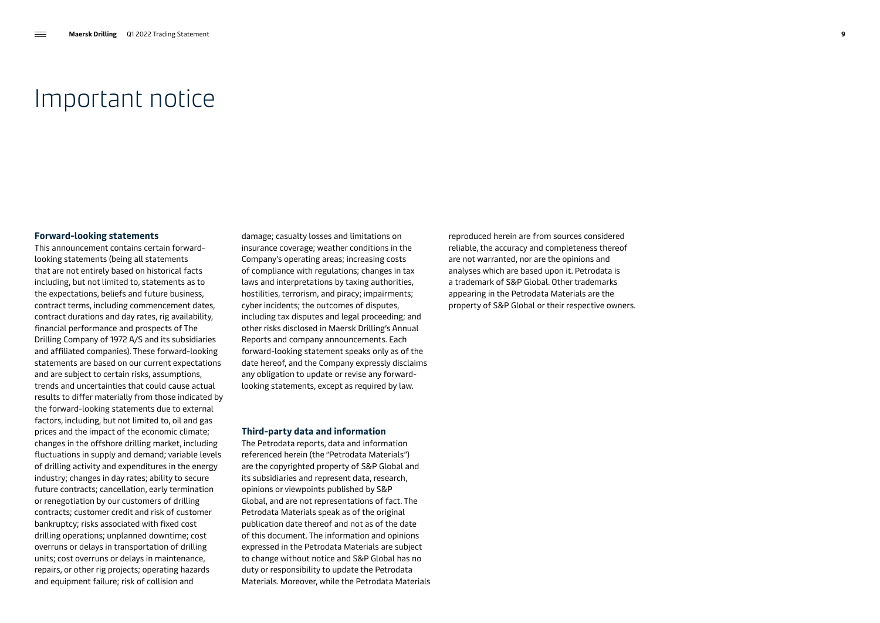### Important notice

#### **Forward-looking statements**

This announcement contains certain forwardlooking statements (being all statements that are not entirely based on historical facts including, but not limited to, statements as to the expectations, beliefs and future business, contract terms, including commencement dates, contract durations and day rates, rig availability, financial performance and prospects of The Drilling Company of 1972 A/S and its subsidiaries and affiliated companies). These forward-looking statements are based on our current expectations and are subject to certain risks, assumptions, trends and uncertainties that could cause actual results to differ materially from those indicated by the forward-looking statements due to external factors, including, but not limited to, oil and gas prices and the impact of the economic climate; changes in the offshore drilling market, including fluctuations in supply and demand; variable levels of drilling activity and expenditures in the energy industry; changes in day rates; ability to secure future contracts; cancellation, early termination or renegotiation by our customers of drilling contracts; customer credit and risk of customer bankruptcy; risks associated with fixed cost drilling operations; unplanned downtime; cost overruns or delays in transportation of drilling units; cost overruns or delays in maintenance, repairs, or other rig projects; operating hazards and equipment failure; risk of collision and

damage; casualty losses and limitations on insurance coverage; weather conditions in the Company's operating areas; increasing costs of compliance with regulations; changes in tax laws and interpretations by taxing authorities, hostilities, terrorism, and piracy; impairments; cyber incidents; the outcomes of disputes, including tax disputes and legal proceeding; and other risks disclosed in Maersk Drilling's Annual Reports and company announcements. Each forward-looking statement speaks only as of the date hereof, and the Company expressly disclaims any obligation to update or revise any forwardlooking statements, except as required by law.

#### **Third-party data and information**

The Petrodata reports, data and information referenced herein (the "Petrodata Materials") are the copyrighted property of S&P Global and its subsidiaries and represent data, research, opinions or viewpoints published by S&P Global, and are not representations of fact. The Petrodata Materials speak as of the original publication date thereof and not as of the date of this document. The information and opinions expressed in the Petrodata Materials are subject to change without notice and S&P Global has no duty or responsibility to update the Petrodata Materials. Moreover, while the Petrodata Materials reproduced herein are from sources considered reliable, the accuracy and completeness thereof are not warranted, nor are the opinions and analyses which are based upon it. Petrodata is a trademark of S&P Global. Other trademarks appearing in the Petrodata Materials are the property of S&P Global or their respective owners.